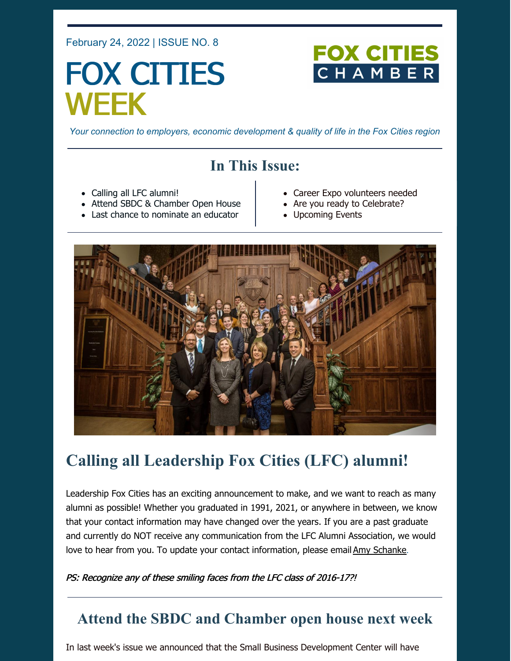February 24, 2022 | ISSUE NO. 8

# FOX CITIES WEEK



*Your connection to employers, economic development & quality of life in the Fox Cities region*

# **In This Issue:**

- Calling all LFC alumni!
- Attend SBDC & Chamber Open House
- Last chance to nominate an educator
- Career Expo volunteers needed
- Are you ready to Celebrate?
- Upcoming Events



# **Calling all Leadership Fox Cities (LFC) alumni!**

Leadership Fox Cities has an exciting announcement to make, and we want to reach as many alumni as possible! Whether you graduated in 1991, 2021, or anywhere in between, we know that your contact information may have changed over the years. If you are a past graduate and currently do NOT receive any communication from the LFC Alumni Association, we would love to hear from you. To update your contact information, please email Amy [Schanke](mailto:aschanke@foxcitieschamber.com).

PS: Recognize any of these smiling faces from the LFC class of 2016-17?!

### **Attend the SBDC and Chamber open house next week**

In last week's issue we announced that the Small Business Development Center will have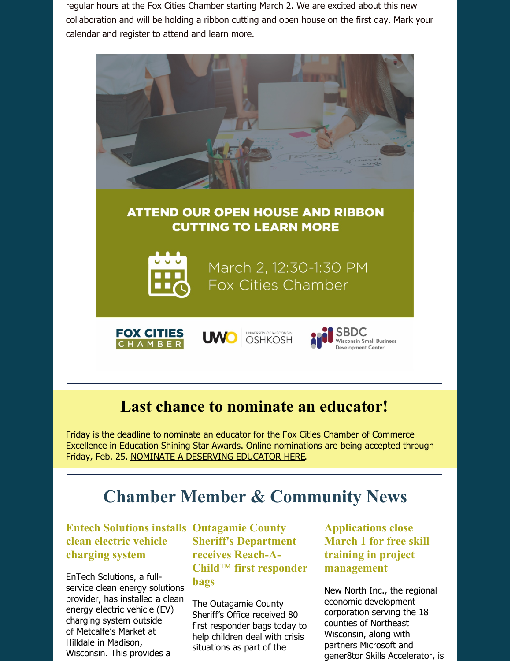regular hours at the Fox Cities Chamber starting March 2. We are excited about this new collaboration and will be holding a ribbon cutting and open house on the first day. Mark your calendar and [register](https://business.foxcitieschamber.com/events/details/ribbon-cutting-sbdc-and-fox-cities-chamber-17472) to attend and learn more.



## **Last chance to nominate an educator!**

Friday is the deadline to nominate an educator for the Fox Cities Chamber of Commerce Excellence in Education Shining Star Awards. Online nominations are being accepted through Friday, Feb. 25. NOMINATE A [DESERVING](https://form.jotform.com/213205214034135) EDUCATOR HERE.

# **Chamber Member & Community News**

#### **Entech Solutions installs Outagamie County clean electric vehicle charging system**

EnTech Solutions, a fullservice clean energy solutions provider, has installed a clean energy electric vehicle (EV) charging system outside of Metcalfe's Market at Hilldale in Madison, Wisconsin. This provides a

**Sheriff's Department receives Reach-A-Child**™ **first responder bags**

The Outagamie County Sheriff's Office received 80 first responder bags today to help children deal with crisis situations as part of the

**Applications close March 1 for free skill training in project management**

New North Inc., the regional economic development corporation serving the 18 counties of Northeast Wisconsin, along with partners Microsoft and gener8tor Skills Accelerator, is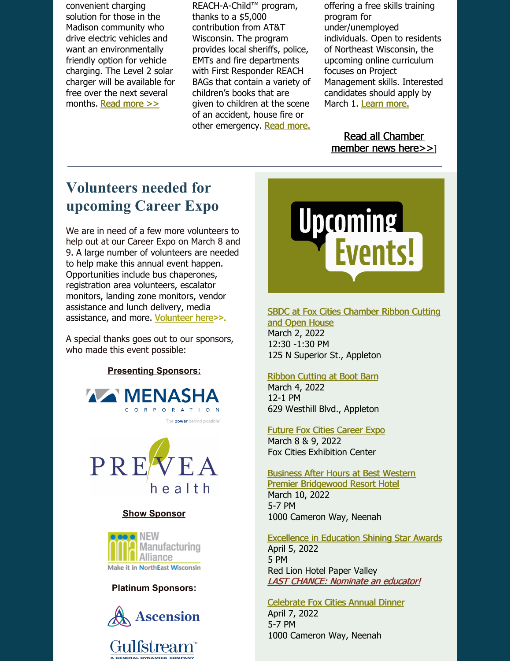convenient charging solution for those in the Madison community who drive electric vehicles and want an environmentally friendly option for vehicle charging. The Level 2 solar charger will be available for free over the next several months. Read [more](https://foxcitieschamber.com/news/2022/02/22/member-news/entech-solutions-installs-clean-electric-vehicle-ev-charging-system-at-hilldale-in-partnership-with-metcalfe-s/) >>

REACH-A-Child™ program, thanks to a \$5,000 contribution from AT&T Wisconsin. The program provides local sheriffs, police, EMTs and fire departments with First Responder REACH BAGs that contain a variety of children's books that are given to children at the scene of an accident, house fire or other emergency. Read [more.](https://foxcitieschamber.com/news/2022/02/22/member-news/outagamie-county-sheriff-s-office-receives-reach-a-child-first-responder-bags-thanks-to-5-000-contribution-from-at-t/) offering a free skills training program for under/unemployed individuals. Open to residents of Northeast Wisconsin, the upcoming online curriculum focuses on Project Management skills. Interested candidates should apply by March 1. Learn [more.](https://foxcitieschamber.com/news/2022/02/22/member-news/applications-close-march-1-for-free-skills-training-in-project-management/)

Read all [Chamber](https://foxcitieschamber.com/news/1/) member news here>>]

# **Volunteers needed for upcoming Career Expo**

We are in need of a few more volunteers to help out at our Career Expo on March 8 and 9. A large number of volunteers are needed to help make this annual event happen. Opportunities include bus chaperones, registration area volunteers, escalator monitors, landing zone monitors, vendor assistance and lunch delivery, media assistance, and more. [Volunteer](https://form.jotform.com/212994739819172) here**>>**.

A special thanks goes out to our sponsors, who made this event possible:

**Presenting Sponsors:**





#### **Show Sponsor**



#### **Platinum Sponsors:**



Gulfstream<sup>®</sup>



### SBDC at Fox Cities [Chamber](https://business.foxcitieschamber.com/events/details/ribbon-cutting-sbdc-and-fox-cities-chamber-17472) Ribbon Cutting

and Open House March 2, 2022 12:30 -1:30 PM 125 N Superior St., Appleton

#### Ribbon [Cutting](https://business.foxcitieschamber.com/events/details/ribbon-cutting-boot-barn-17460) at Boot Barn

March 4, 2022 12-1 PM 629 Westhill Blvd., Appleton

#### Future Fox Cities [Career](https://foxcitieschamber.com/talent/future-fox-cities-fox-cities-chamber/) Expo

March 8 & 9, 2022 Fox Cities Exhibition Center

#### Business After Hours at Best Western Premier [Bridgewood](https://business.foxcitieschamber.com/events/details/2022-business-after-hours-march-17448) Resort Hotel

March 10, 2022 5-7 PM 1000 Cameron Way, Neenah

[Excellence](https://foxcitieschamber.com/talent/excellence-in-education-awards-fox-cities-chamber/) in Education Shining Star Awards April 5, 2022 5 PM Red Lion Hotel Paper Valley LAST CHANCE: [Nominate](https://form.jotform.com/213205214034135) an educator!

[Celebrate](https://business.foxcitieschamber.com/events/details/celebrate-fox-cities-annual-dinner-17275) Fox Cities Annual Dinner April 7, 2022 5-7 PM 1000 Cameron Way, Neenah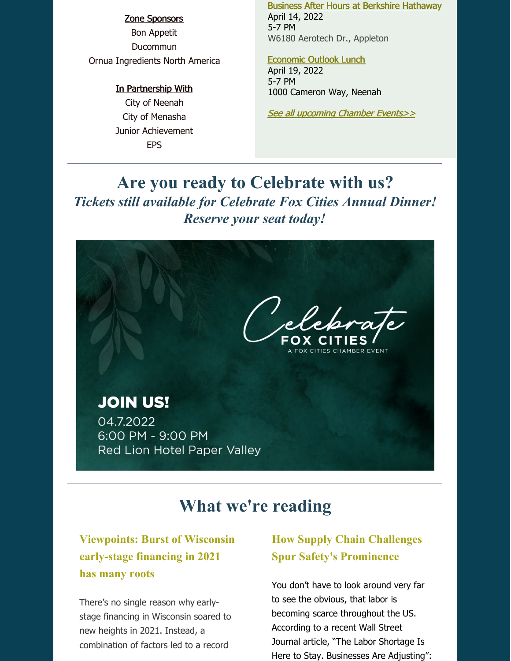### Zone Sponsors Bon Appetit Ducommun Ornua Ingredients North America

#### In Partnership With

City of Neenah City of Menasha Junior Achievement EPS

Business After Hours at Berkshire [Hathaway](https://business.foxcitieschamber.com/events/details/2022-business-after-hours-april-17449) April 14, 2022 5-7 PM W6180 Aerotech Dr., Appleton

#### [Economic](https://business.foxcitieschamber.com/events/details/2022-economic-outlook-lunch-17239) Outlook Lunch

April 19, 2022 5-7 PM 1000 Cameron Way, Neenah

See all [upcoming](https://business.foxcitieschamber.com/events/catgid/6) Chamber Events>>

# **Are you ready to Celebrate with us?** *Tickets still available for Celebrate Fox Cities Annual Dinner! [Reserve](https://business.foxcitieschamber.com/events/details/celebrate-fox-cities-annual-dinner-17275) your seat today!*



# **What we're reading**

### **Viewpoints: Burst of Wisconsin early-stage financing in 2021 has many roots**

There's no single reason why earlystage financing in [Wisconsin](https://biztimes.com/investments-in-wisconsin-early-stage-companies-in-2021-shatter-previous-high/) soared to new heights in 2021. Instead, a combination of factors led to a record

### **How Supply Chain Challenges Spur Safety's Prominence**

You don't have to look around very far to see the obvious, that labor is becoming scarce throughout the US. According to a recent Wall Street Journal article, "The Labor Shortage Is Here to Stay. Businesses Are Adjusting":